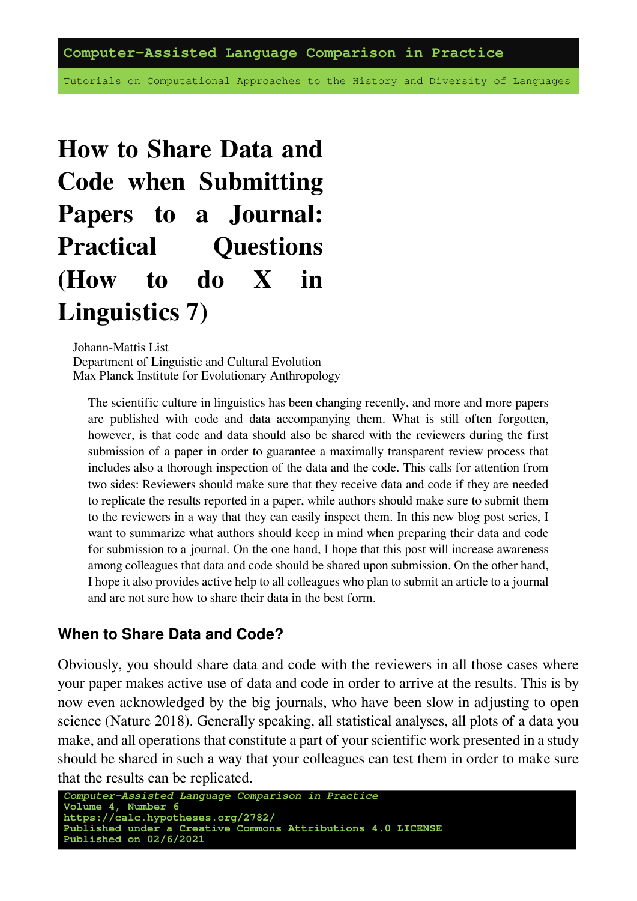Tutorials on Computational Approaches to the History and Diversity of Languages

# **How to Share Data and Code when Submitting Papers to a Journal: Practical Questions (How to do X in Linguistics 7)**

Johann-Mattis List Department of Linguistic and Cultural Evolution Max Planck Institute for Evolutionary Anthropology

The scientific culture in linguistics has been changing recently, and more and more papers are published with code and data accompanying them. What is still often forgotten, however, is that code and data should also be shared with the reviewers during the first submission of a paper in order to guarantee a maximally transparent review process that includes also a thorough inspection of the data and the code. This calls for attention from two sides: Reviewers should make sure that they receive data and code if they are needed to replicate the results reported in a paper, while authors should make sure to submit them to the reviewers in a way that they can easily inspect them. In this new blog post series, I want to summarize what authors should keep in mind when preparing their data and code for submission to a journal. On the one hand, I hope that this post will increase awareness among colleagues that data and code should be shared upon submission. On the other hand, I hope it also provides active help to all colleagues who plan to submit an article to a journal and are not sure how to share their data in the best form.

#### **When to Share Data and Code?**

Obviously, you should share data and code with the reviewers in all those cases where your paper makes active use of data and code in order to arrive at the results. This is by now even acknowledged by the big journals, who have been slow in adjusting to open science([Nature 2018\)](https://digling.org/evobib/?bibtex=Nature2018). Generally speaking, all statistical analyses, all plots of a data you make, and all operations that constitute a part of your scientific work presented in a study should be shared in such a way that your colleagues can test them in order to make sure that the results can be replicated.

```
Computer-Assisted Language Comparison in Practice
Volume 4, Number 6
https://calc.hypotheses.org/2782/
Published under a Creative Commons Attributions 4.0 LICENSE
Published on 02/6/2021
```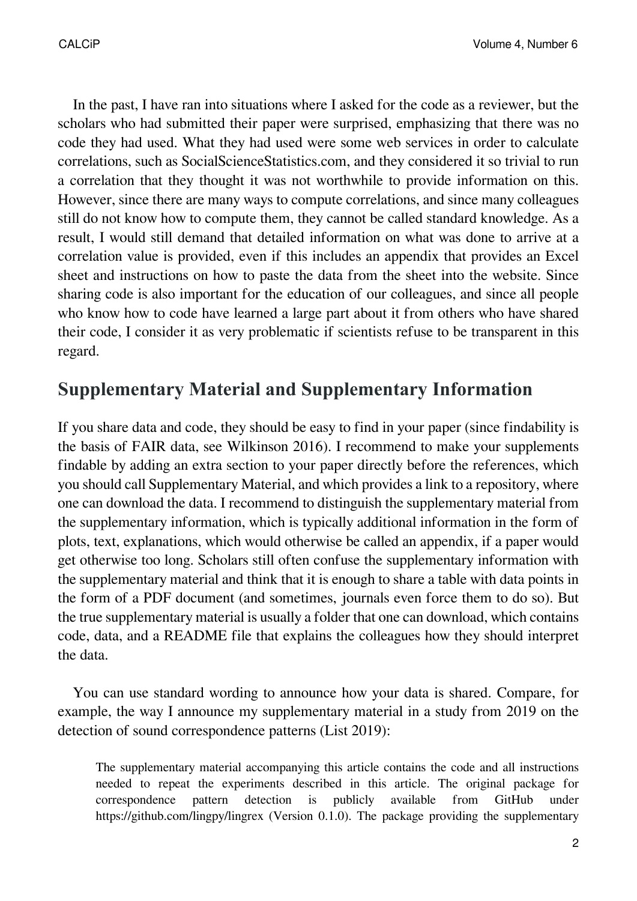In the past, I have ran into situations where I asked for the code as a reviewer, but the scholars who had submitted their paper were surprised, emphasizing that there was no code they had used. What they had used were some web services in order to calculate correlations, such as [SocialScienceStatistics.com](https://www.socscistatistics.com/), and they considered it so trivial to run a correlation that they thought it was not worthwhile to provide information on this. However, since there are many ways to compute correlations, and since many colleagues still do not know how to compute them, they cannot be called standard knowledge. As a result, I would still demand that detailed information on what was done to arrive at a correlation value is provided, even if this includes an appendix that provides an Excel sheet and instructions on how to paste the data from the sheet into the website. Since sharing code is also important for the education of our colleagues, and since all people who know how to code have learned a large part about it from others who have shared their code, I consider it as very problematic if scientists refuse to be transparent in this regard.

## **Supplementary Material and Supplementary Information**

If you share data and code, they should be easy to find in your paper (since findability is the basis of FAIR data, see [Wilkinson 2016\)](https://digling.org/evobib/?bibtex=Wilkinson2016). I recommend to make your supplements findable by adding an extra section to your paper directly before the references, which you should call Supplementary Material, and which provides a link to a repository, where one can download the data. I recommend to distinguish the supplementary material from the supplementary information, which is typically additional information in the form of plots, text, explanations, which would otherwise be called an appendix, if a paper would get otherwise too long. Scholars still often confuse the supplementary information with the supplementary material and think that it is enough to share a table with data points in the form of a PDF document (and sometimes, journals even force them to do so). But the true supplementary material is usually a folder that one can download, which contains code, data, and a README file that explains the colleagues how they should interpret the data.

You can use standard wording to announce how your data is shared. Compare, for example, the way I announce my supplementary material in a study from 2019 on the detection of sound correspondence patterns([List 2019\)](https://digling.org/evobib/?bibtex=List2019a):

The supplementary material accompanying this article contains the code and all instructions needed to repeat the experiments described in this article. The original package for correspondence pattern detection is publicly available from GitHub under https://github.com/lingpy/lingrex (Version 0.1.0). The package providing the supplementary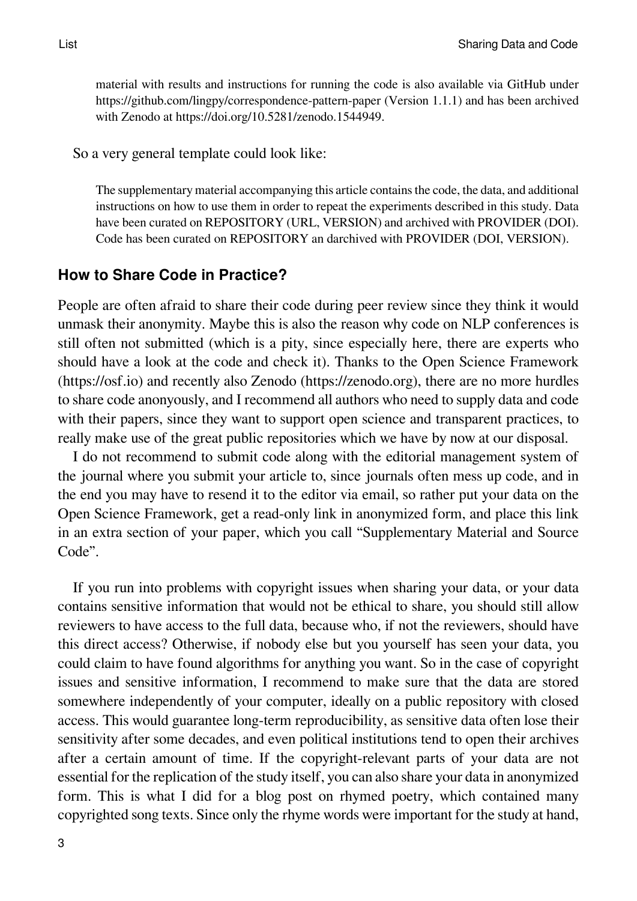material with results and instructions for running the code is also available via GitHub under https://github.com/lingpy/correspondence-pattern-paper (Version 1.1.1) and has been archived with Zenodo at https://doi.org/10.5281/zenodo.1544949.

So a very general template could look like:

The supplementary material accompanying this article contains the code, the data, and additional instructions on how to use them in order to repeat the experiments described in this study. Data have been curated on REPOSITORY (URL, VERSION) and archived with PROVIDER (DOI). Code has been curated on REPOSITORY an darchived with PROVIDER (DOI, VERSION).

#### **How to Share Code in Practice?**

People are often afraid to share their code during peer review since they think it would unmask their anonymity. Maybe this is also the reason why code on NLP conferences is still often not submitted (which is a pity, since especially here, there are experts who should have a look at the code and check it). Thanks to the Open Science Framework (https://osf.io) and recently also Zenodo (https://zenodo.org), there are no more hurdles to share code anonyously, and I recommend all authors who need to supply data and code with their papers, since they want to support open science and transparent practices, to really make use of the great public repositories which we have by now at our disposal.

I do not recommend to submit code along with the editorial management system of the journal where you submit your article to, since journals often mess up code, and in the end you may have to resend it to the editor via email, so rather put your data on the Open Science Framework, get a read-only link in anonymized form, and place this link in an extra section of your paper, which you call "Supplementary Material and Source Code".

If you run into problems with copyright issues when sharing your data, or your data contains sensitive information that would not be ethical to share, you should still allow reviewers to have access to the full data, because who, if not the reviewers, should have this direct access? Otherwise, if nobody else but you yourself has seen your data, you could claim to have found algorithms for anything you want. So in the case of copyright issues and sensitive information, I recommend to make sure that the data are stored somewhere independently of your computer, ideally on a public repository with closed access. This would guarantee long-term reproducibility, as sensitive data often lose their sensitivity after some decades, and even political institutions tend to open their archives after a certain amount of time. If the copyright-relevant parts of your data are not essential for the replication of the study itself, you can also share your data in anonymized form. This is what I did for a blog post on rhymed poetry, which contained many copyrighted song texts. Since only the rhyme words were important for the study at hand,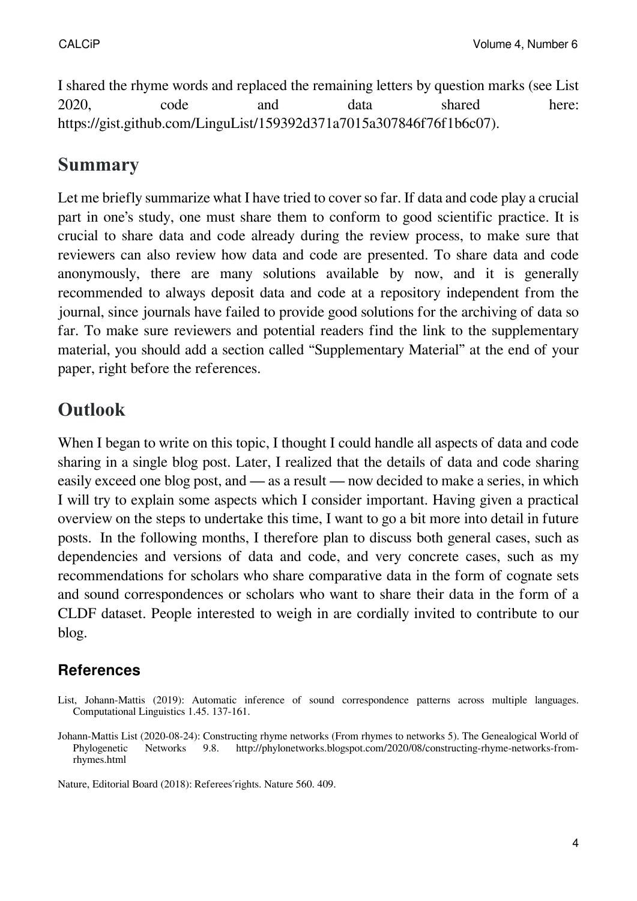I shared the rhyme words and replaced the remaining letters by question marks (see [List](http://phylonetworks.blogspot.com/2020/08/constructing-rhyme-networks-from-rhymes.html) [2020](http://phylonetworks.blogspot.com/2020/08/constructing-rhyme-networks-from-rhymes.html), code and data shared [here:](https://gist.github.com/LinguList/159392d371a7015a307846f76f1b6c07) https://gist.github.com/LinguList/159392d371a7015a307846f76f1b6c07).

### **Summary**

Let me briefly summarize what I have tried to cover so far. If data and code play a crucial part in one's study, one must share them to conform to good scientific practice. It is crucial to share data and code already during the review process, to make sure that reviewers can also review how data and code are presented. To share data and code anonymously, there are many solutions available by now, and it is generally recommended to always deposit data and code at a repository independent from the journal, since journals have failed to provide good solutions for the archiving of data so far. To make sure reviewers and potential readers find the link to the supplementary material, you should add a section called "Supplementary Material" at the end of your paper, right before the references.

# **Outlook**

When I began to write on this topic, I thought I could handle all aspects of data and code sharing in a single blog post. Later, I realized that the details of data and code sharing easily exceed one blog post, and — as a result — now decided to make a series, in which I will try to explain some aspects which I consider important. Having given a practical overview on the steps to undertake this time, I want to go a bit more into detail in future posts. In the following months, I therefore plan to discuss both general cases, such as dependencies and versions of data and code, and very concrete cases, such as my recommendations for scholars who share comparative data in the form of cognate sets and sound correspondences or scholars who want to share their data in the form of a CLDF dataset. People interested to weigh in are cordially invited to contribute to our blog.

### **References**

List, Johann-Mattis (2019): Automatic inference of sound correspondence patterns across multiple languages. Computational Linguistics 1.45. 137-161.

Nature, Editorial Board (2018): Referees ́rights. Nature 560. 409.

Johann-Mattis List (2020-08-24): Constructing rhyme networks (From rhymes to networks 5). The Genealogical World of Phylogenetic Networks 9.8. [http://phylonetworks.blogspot.com/2020/08/constructing-rhyme-networks-from](http://phylonetworks.blogspot.com/2020/08/constructing-rhyme-networks-from-rhymes.html)[rhymes.html](http://phylonetworks.blogspot.com/2020/08/constructing-rhyme-networks-from-rhymes.html)